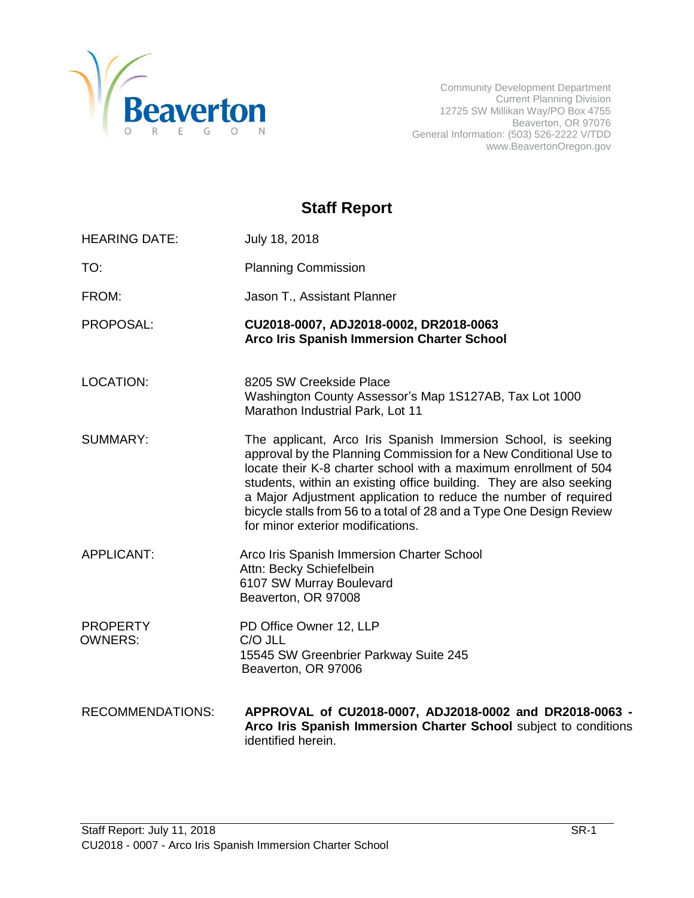

Community Development Department Current Planning Division 12725 SW Millikan Way/PO Box 4755 Beaverton, OR 97076 General Information: (503) 526-2222 V/TDD www.BeavertonOregon.gov

# **Staff Report**

| <b>HEARING DATE:</b>              | July 18, 2018                                                                                                                                                                                                                                                                                                                                                                                                                                                |
|-----------------------------------|--------------------------------------------------------------------------------------------------------------------------------------------------------------------------------------------------------------------------------------------------------------------------------------------------------------------------------------------------------------------------------------------------------------------------------------------------------------|
| TO:                               | <b>Planning Commission</b>                                                                                                                                                                                                                                                                                                                                                                                                                                   |
| FROM:                             | Jason T., Assistant Planner                                                                                                                                                                                                                                                                                                                                                                                                                                  |
| PROPOSAL:                         | CU2018-0007, ADJ2018-0002, DR2018-0063<br><b>Arco Iris Spanish Immersion Charter School</b>                                                                                                                                                                                                                                                                                                                                                                  |
| <b>LOCATION:</b>                  | 8205 SW Creekside Place<br>Washington County Assessor's Map 1S127AB, Tax Lot 1000<br>Marathon Industrial Park, Lot 11                                                                                                                                                                                                                                                                                                                                        |
| <b>SUMMARY:</b>                   | The applicant, Arco Iris Spanish Immersion School, is seeking<br>approval by the Planning Commission for a New Conditional Use to<br>locate their K-8 charter school with a maximum enrollment of 504<br>students, within an existing office building. They are also seeking<br>a Major Adjustment application to reduce the number of required<br>bicycle stalls from 56 to a total of 28 and a Type One Design Review<br>for minor exterior modifications. |
| <b>APPLICANT:</b>                 | Arco Iris Spanish Immersion Charter School<br>Attn: Becky Schiefelbein<br>6107 SW Murray Boulevard<br>Beaverton, OR 97008                                                                                                                                                                                                                                                                                                                                    |
| <b>PROPERTY</b><br><b>OWNERS:</b> | PD Office Owner 12, LLP<br>C/O JLL<br>15545 SW Greenbrier Parkway Suite 245<br>Beaverton, OR 97006                                                                                                                                                                                                                                                                                                                                                           |
| <b>RECOMMENDATIONS:</b>           | APPROVAL of CU2018-0007, ADJ2018-0002 and DR2018-0063 -<br>Arco Iris Spanish Immersion Charter School subject to conditions<br>identified herein.                                                                                                                                                                                                                                                                                                            |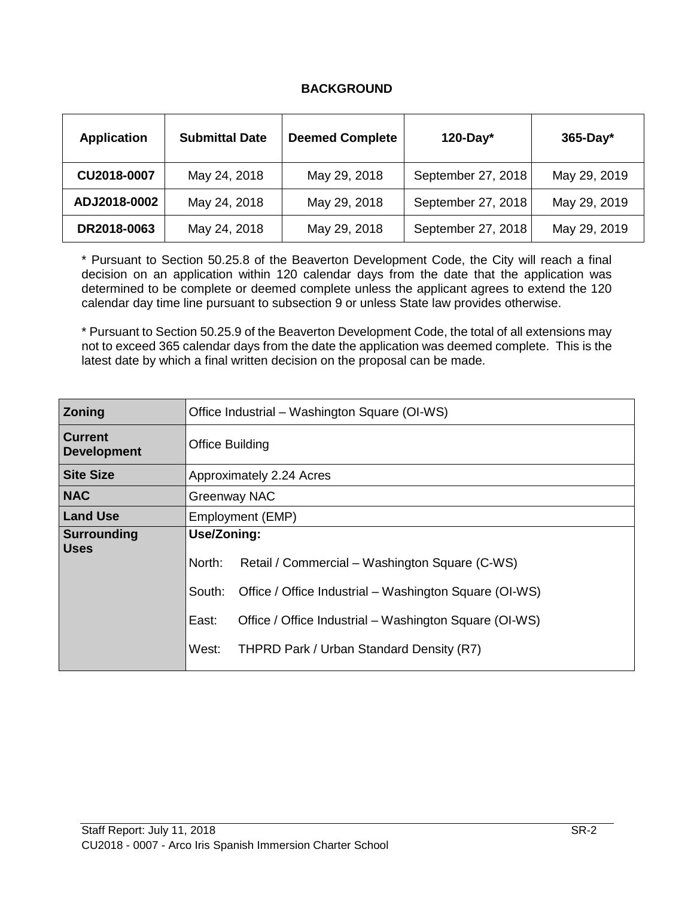#### **BACKGROUND**

| <b>Application</b> | <b>Submittal Date</b> | <b>Deemed Complete</b> | $120$ -Day*        | $365$ -Day*  |
|--------------------|-----------------------|------------------------|--------------------|--------------|
| CU2018-0007        | May 24, 2018          | May 29, 2018           | September 27, 2018 | May 29, 2019 |
| ADJ2018-0002       | May 24, 2018          | May 29, 2018           | September 27, 2018 | May 29, 2019 |
| DR2018-0063        | May 24, 2018          | May 29, 2018           | September 27, 2018 | May 29, 2019 |

\* Pursuant to Section 50.25.8 of the Beaverton Development Code, the City will reach a final decision on an application within 120 calendar days from the date that the application was determined to be complete or deemed complete unless the applicant agrees to extend the 120 calendar day time line pursuant to subsection 9 or unless State law provides otherwise.

\* Pursuant to Section 50.25.9 of the Beaverton Development Code, the total of all extensions may not to exceed 365 calendar days from the date the application was deemed complete. This is the latest date by which a final written decision on the proposal can be made.

| <b>Zoning</b>                        | Office Industrial – Washington Square (OI-WS) |                                                        |  |
|--------------------------------------|-----------------------------------------------|--------------------------------------------------------|--|
| <b>Current</b><br><b>Development</b> | <b>Office Building</b>                        |                                                        |  |
| <b>Site Size</b>                     | Approximately 2.24 Acres                      |                                                        |  |
| <b>NAC</b>                           | Greenway NAC                                  |                                                        |  |
| <b>Land Use</b>                      | Employment (EMP)                              |                                                        |  |
| <b>Surrounding</b>                   | Use/Zoning:                                   |                                                        |  |
| <b>Uses</b>                          | North:                                        | Retail / Commercial – Washington Square (C-WS)         |  |
|                                      | South:                                        | Office / Office Industrial – Washington Square (OI-WS) |  |
|                                      | East:                                         | Office / Office Industrial – Washington Square (OI-WS) |  |
|                                      | West:                                         | THPRD Park / Urban Standard Density (R7)               |  |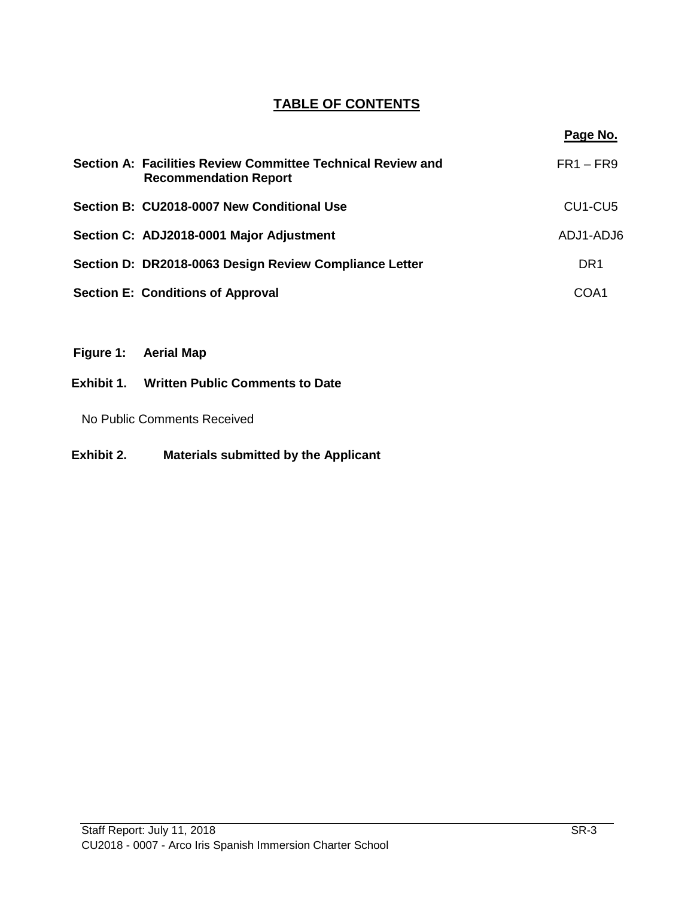# **TABLE OF CONTENTS**

| Section A: Facilities Review Committee Technical Review and<br><b>Recommendation Report</b> | $FR1 - FR9$                      |
|---------------------------------------------------------------------------------------------|----------------------------------|
| Section B: CU2018-0007 New Conditional Use                                                  | CU <sub>1</sub> -CU <sub>5</sub> |
| Section C: ADJ2018-0001 Major Adjustment                                                    | ADJ1-ADJ6                        |
| Section D: DR2018-0063 Design Review Compliance Letter                                      | DR <sub>1</sub>                  |
| <b>Section E: Conditions of Approval</b>                                                    | COA1                             |

- **Figure 1: Aerial Map**
- **Exhibit 1. Written Public Comments to Date**

No Public Comments Received

**Exhibit 2. Materials submitted by the Applicant**

**Page No.**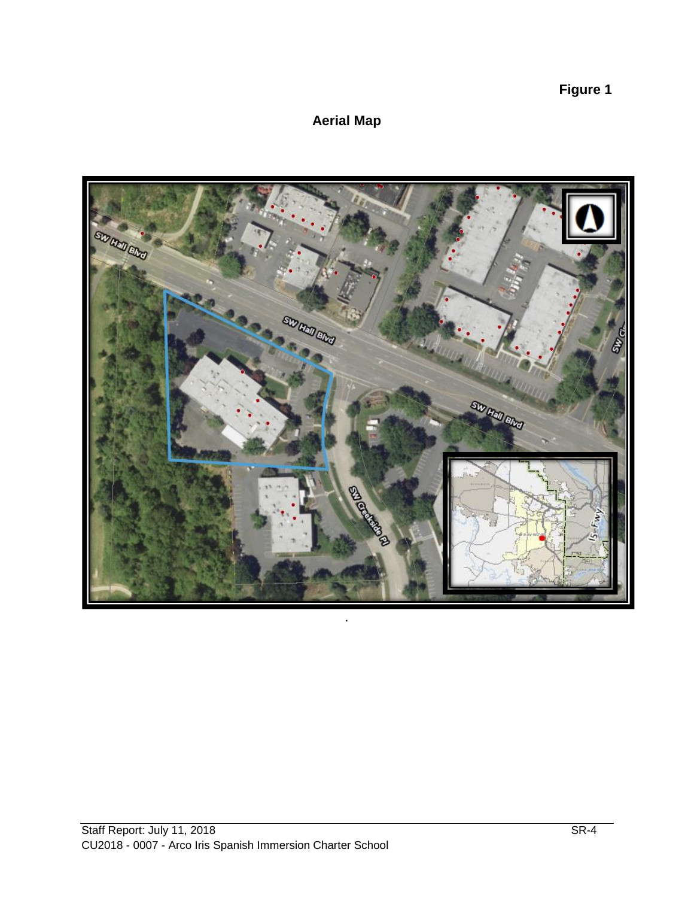**Figure 1**

# **Aerial Map**

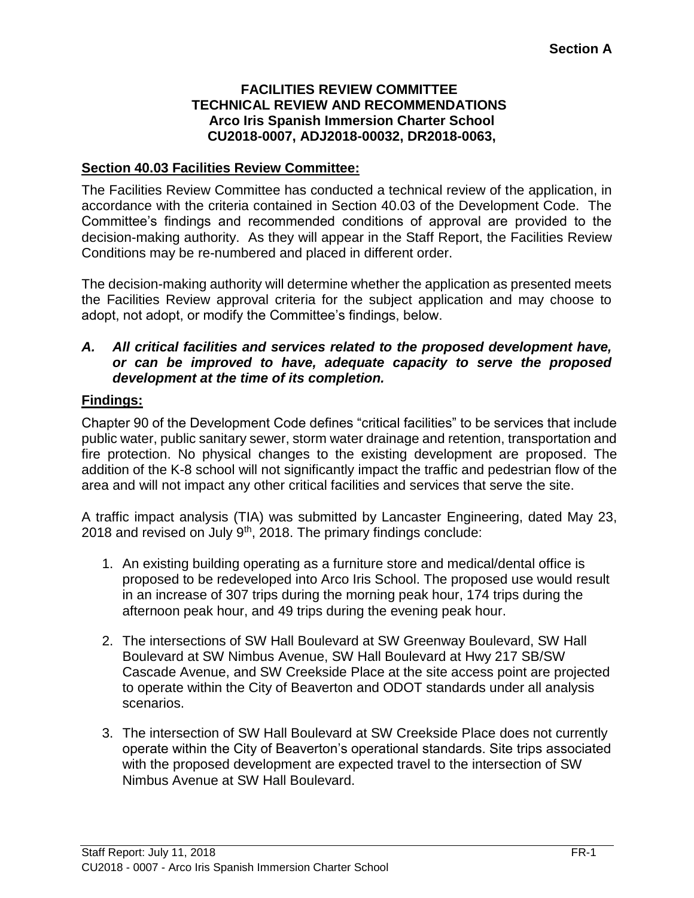#### **FACILITIES REVIEW COMMITTEE TECHNICAL REVIEW AND RECOMMENDATIONS Arco Iris Spanish Immersion Charter School CU2018-0007, ADJ2018-00032, DR2018-0063,**

# **Section 40.03 Facilities Review Committee:**

The Facilities Review Committee has conducted a technical review of the application, in accordance with the criteria contained in Section 40.03 of the Development Code. The Committee's findings and recommended conditions of approval are provided to the decision-making authority. As they will appear in the Staff Report, the Facilities Review Conditions may be re-numbered and placed in different order.

The decision-making authority will determine whether the application as presented meets the Facilities Review approval criteria for the subject application and may choose to adopt, not adopt, or modify the Committee's findings, below.

#### *A. All critical facilities and services related to the proposed development have, or can be improved to have, adequate capacity to serve the proposed development at the time of its completion.*

# **Findings:**

Chapter 90 of the Development Code defines "critical facilities" to be services that include public water, public sanitary sewer, storm water drainage and retention, transportation and fire protection. No physical changes to the existing development are proposed. The addition of the K-8 school will not significantly impact the traffic and pedestrian flow of the area and will not impact any other critical facilities and services that serve the site.

A traffic impact analysis (TIA) was submitted by Lancaster Engineering, dated May 23, 2018 and revised on July  $9<sup>th</sup>$ , 2018. The primary findings conclude:

- 1. An existing building operating as a furniture store and medical/dental office is proposed to be redeveloped into Arco Iris School. The proposed use would result in an increase of 307 trips during the morning peak hour, 174 trips during the afternoon peak hour, and 49 trips during the evening peak hour.
- 2. The intersections of SW Hall Boulevard at SW Greenway Boulevard, SW Hall Boulevard at SW Nimbus Avenue, SW Hall Boulevard at Hwy 217 SB/SW Cascade Avenue, and SW Creekside Place at the site access point are projected to operate within the City of Beaverton and ODOT standards under all analysis scenarios.
- 3. The intersection of SW Hall Boulevard at SW Creekside Place does not currently operate within the City of Beaverton's operational standards. Site trips associated with the proposed development are expected travel to the intersection of SW Nimbus Avenue at SW Hall Boulevard.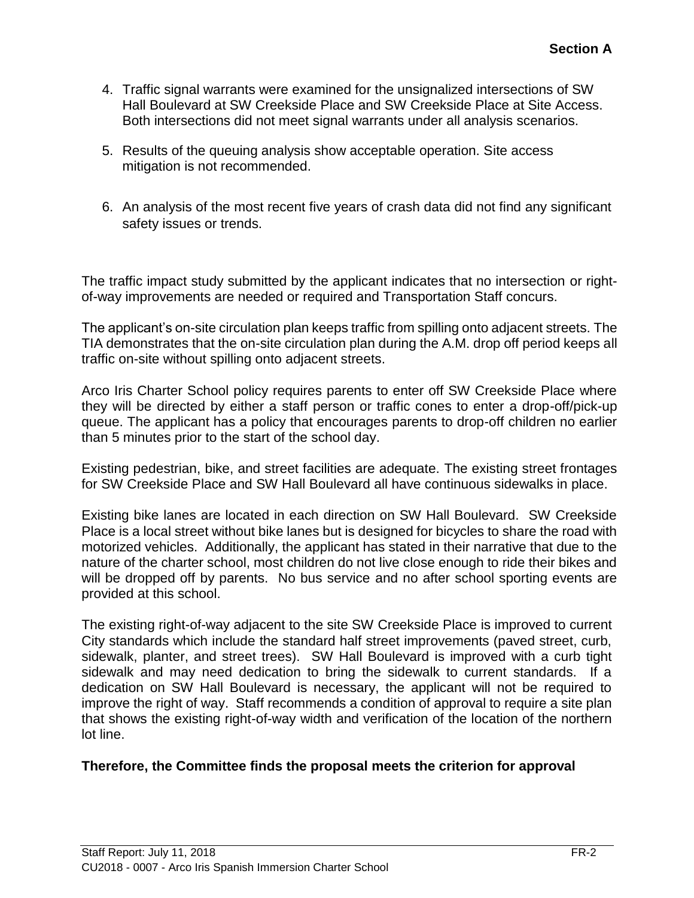- 4. Traffic signal warrants were examined for the unsignalized intersections of SW Hall Boulevard at SW Creekside Place and SW Creekside Place at Site Access. Both intersections did not meet signal warrants under all analysis scenarios.
- 5. Results of the queuing analysis show acceptable operation. Site access mitigation is not recommended.
- 6. An analysis of the most recent five years of crash data did not find any significant safety issues or trends.

The traffic impact study submitted by the applicant indicates that no intersection or rightof-way improvements are needed or required and Transportation Staff concurs.

The applicant's on-site circulation plan keeps traffic from spilling onto adjacent streets. The TIA demonstrates that the on-site circulation plan during the A.M. drop off period keeps all traffic on-site without spilling onto adjacent streets.

Arco Iris Charter School policy requires parents to enter off SW Creekside Place where they will be directed by either a staff person or traffic cones to enter a drop-off/pick-up queue. The applicant has a policy that encourages parents to drop-off children no earlier than 5 minutes prior to the start of the school day.

Existing pedestrian, bike, and street facilities are adequate. The existing street frontages for SW Creekside Place and SW Hall Boulevard all have continuous sidewalks in place.

Existing bike lanes are located in each direction on SW Hall Boulevard. SW Creekside Place is a local street without bike lanes but is designed for bicycles to share the road with motorized vehicles. Additionally, the applicant has stated in their narrative that due to the nature of the charter school, most children do not live close enough to ride their bikes and will be dropped off by parents. No bus service and no after school sporting events are provided at this school.

The existing right-of-way adjacent to the site SW Creekside Place is improved to current City standards which include the standard half street improvements (paved street, curb, sidewalk, planter, and street trees). SW Hall Boulevard is improved with a curb tight sidewalk and may need dedication to bring the sidewalk to current standards. If a dedication on SW Hall Boulevard is necessary, the applicant will not be required to improve the right of way. Staff recommends a condition of approval to require a site plan that shows the existing right-of-way width and verification of the location of the northern lot line.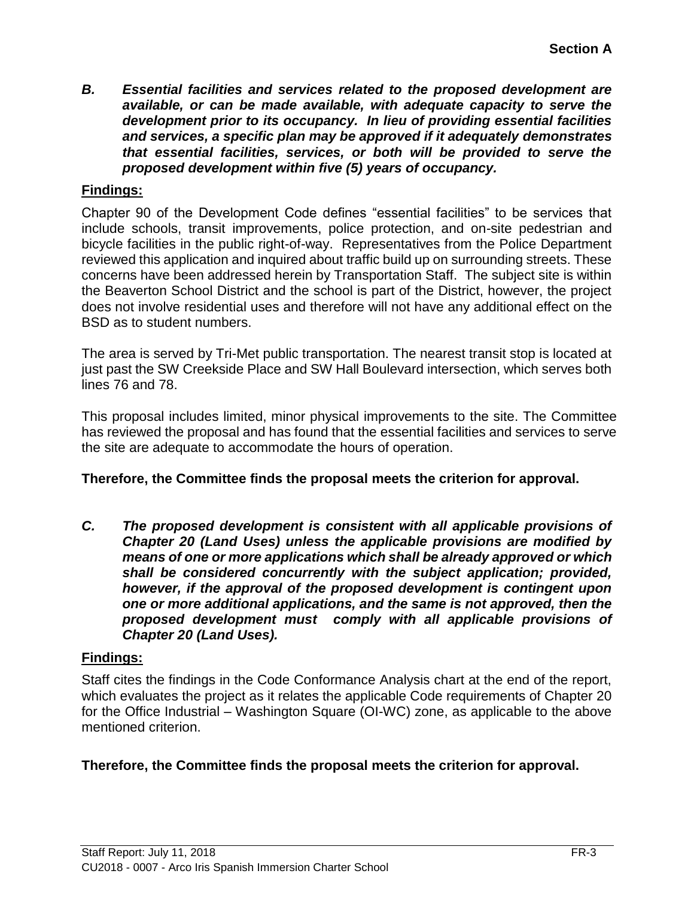*B. Essential facilities and services related to the proposed development are available, or can be made available, with adequate capacity to serve the development prior to its occupancy. In lieu of providing essential facilities and services, a specific plan may be approved if it adequately demonstrates that essential facilities, services, or both will be provided to serve the proposed development within five (5) years of occupancy.*

# **Findings:**

Chapter 90 of the Development Code defines "essential facilities" to be services that include schools, transit improvements, police protection, and on-site pedestrian and bicycle facilities in the public right-of-way. Representatives from the Police Department reviewed this application and inquired about traffic build up on surrounding streets. These concerns have been addressed herein by Transportation Staff. The subject site is within the Beaverton School District and the school is part of the District, however, the project does not involve residential uses and therefore will not have any additional effect on the BSD as to student numbers.

The area is served by Tri-Met public transportation. The nearest transit stop is located at just past the SW Creekside Place and SW Hall Boulevard intersection, which serves both lines 76 and 78.

This proposal includes limited, minor physical improvements to the site. The Committee has reviewed the proposal and has found that the essential facilities and services to serve the site are adequate to accommodate the hours of operation.

#### **Therefore, the Committee finds the proposal meets the criterion for approval.**

*C. The proposed development is consistent with all applicable provisions of Chapter 20 (Land Uses) unless the applicable provisions are modified by means of one or more applications which shall be already approved or which shall be considered concurrently with the subject application; provided, however, if the approval of the proposed development is contingent upon one or more additional applications, and the same is not approved, then the proposed development must comply with all applicable provisions of Chapter 20 (Land Uses).*

#### **Findings:**

Staff cites the findings in the Code Conformance Analysis chart at the end of the report, which evaluates the project as it relates the applicable Code requirements of Chapter 20 for the Office Industrial – Washington Square (OI-WC) zone, as applicable to the above mentioned criterion.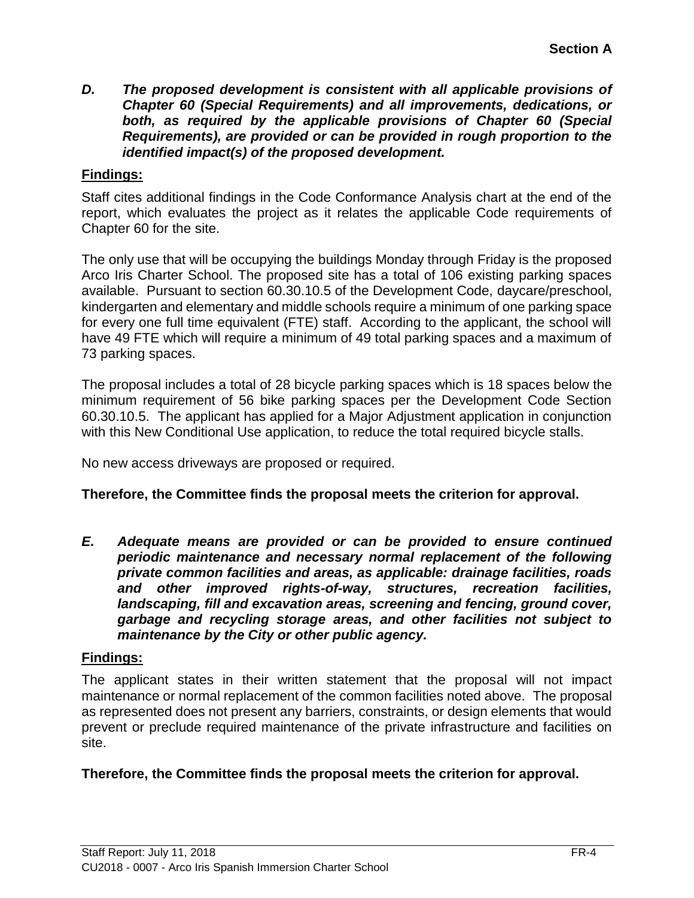*D. The proposed development is consistent with all applicable provisions of Chapter 60 (Special Requirements) and all improvements, dedications, or both, as required by the applicable provisions of Chapter 60 (Special Requirements), are provided or can be provided in rough proportion to the identified impact(s) of the proposed development.*

# **Findings:**

Staff cites additional findings in the Code Conformance Analysis chart at the end of the report, which evaluates the project as it relates the applicable Code requirements of Chapter 60 for the site.

The only use that will be occupying the buildings Monday through Friday is the proposed Arco Iris Charter School. The proposed site has a total of 106 existing parking spaces available. Pursuant to section 60.30.10.5 of the Development Code, daycare/preschool, kindergarten and elementary and middle schools require a minimum of one parking space for every one full time equivalent (FTE) staff. According to the applicant, the school will have 49 FTE which will require a minimum of 49 total parking spaces and a maximum of 73 parking spaces.

The proposal includes a total of 28 bicycle parking spaces which is 18 spaces below the minimum requirement of 56 bike parking spaces per the Development Code Section 60.30.10.5. The applicant has applied for a Major Adjustment application in conjunction with this New Conditional Use application, to reduce the total required bicycle stalls.

No new access driveways are proposed or required.

#### **Therefore, the Committee finds the proposal meets the criterion for approval.**

*E. Adequate means are provided or can be provided to ensure continued periodic maintenance and necessary normal replacement of the following private common facilities and areas, as applicable: drainage facilities, roads and other improved rights-of-way, structures, recreation facilities, landscaping, fill and excavation areas, screening and fencing, ground cover, garbage and recycling storage areas, and other facilities not subject to maintenance by the City or other public agency.*

#### **Findings:**

The applicant states in their written statement that the proposal will not impact maintenance or normal replacement of the common facilities noted above. The proposal as represented does not present any barriers, constraints, or design elements that would prevent or preclude required maintenance of the private infrastructure and facilities on site.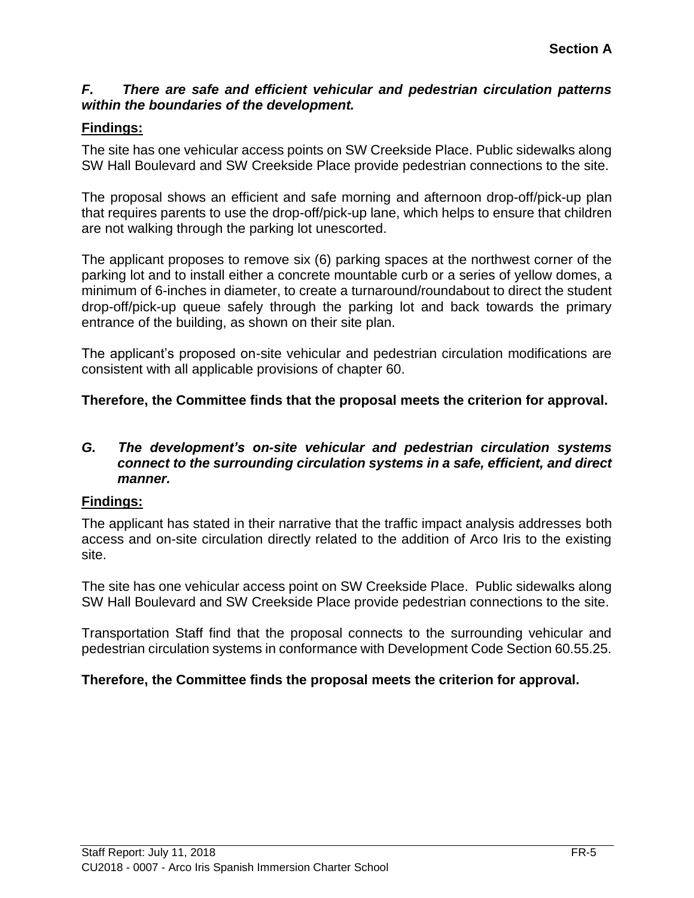### *F. There are safe and efficient vehicular and pedestrian circulation patterns within the boundaries of the development.*

# **Findings:**

The site has one vehicular access points on SW Creekside Place. Public sidewalks along SW Hall Boulevard and SW Creekside Place provide pedestrian connections to the site.

The proposal shows an efficient and safe morning and afternoon drop-off/pick-up plan that requires parents to use the drop-off/pick-up lane, which helps to ensure that children are not walking through the parking lot unescorted.

The applicant proposes to remove six (6) parking spaces at the northwest corner of the parking lot and to install either a concrete mountable curb or a series of yellow domes, a minimum of 6-inches in diameter, to create a turnaround/roundabout to direct the student drop-off/pick-up queue safely through the parking lot and back towards the primary entrance of the building, as shown on their site plan.

The applicant's proposed on-site vehicular and pedestrian circulation modifications are consistent with all applicable provisions of chapter 60.

# **Therefore, the Committee finds that the proposal meets the criterion for approval.**

#### *G. The development's on-site vehicular and pedestrian circulation systems connect to the surrounding circulation systems in a safe, efficient, and direct manner.*

# **Findings:**

The applicant has stated in their narrative that the traffic impact analysis addresses both access and on-site circulation directly related to the addition of Arco Iris to the existing site.

The site has one vehicular access point on SW Creekside Place. Public sidewalks along SW Hall Boulevard and SW Creekside Place provide pedestrian connections to the site.

Transportation Staff find that the proposal connects to the surrounding vehicular and pedestrian circulation systems in conformance with Development Code Section 60.55.25.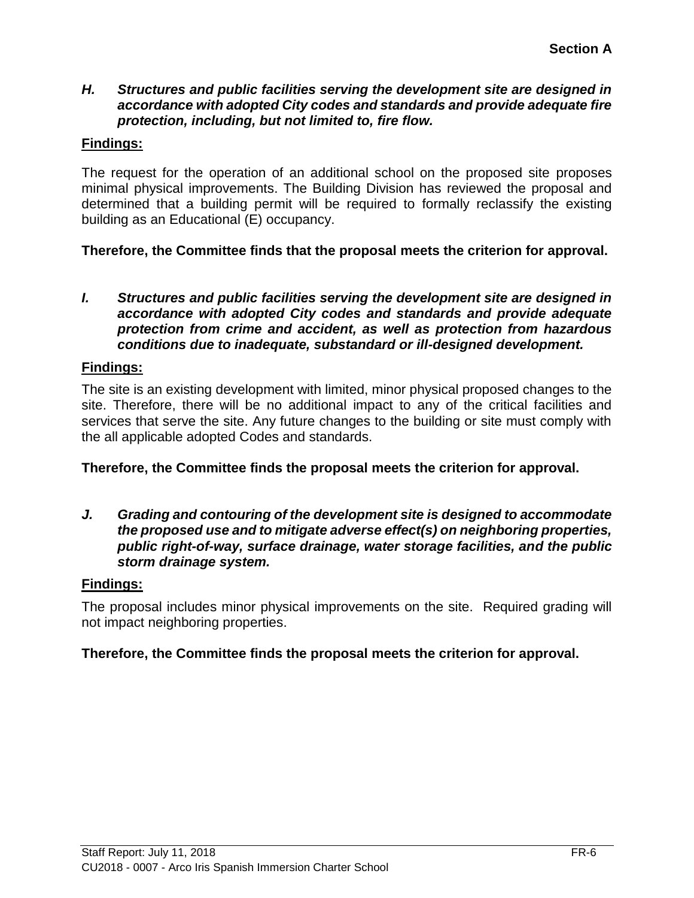#### *H. Structures and public facilities serving the development site are designed in accordance with adopted City codes and standards and provide adequate fire protection, including, but not limited to, fire flow.*

# **Findings:**

The request for the operation of an additional school on the proposed site proposes minimal physical improvements. The Building Division has reviewed the proposal and determined that a building permit will be required to formally reclassify the existing building as an Educational (E) occupancy.

# **Therefore, the Committee finds that the proposal meets the criterion for approval.**

*I. Structures and public facilities serving the development site are designed in accordance with adopted City codes and standards and provide adequate protection from crime and accident, as well as protection from hazardous conditions due to inadequate, substandard or ill-designed development.*

#### **Findings:**

The site is an existing development with limited, minor physical proposed changes to the site. Therefore, there will be no additional impact to any of the critical facilities and services that serve the site. Any future changes to the building or site must comply with the all applicable adopted Codes and standards.

#### **Therefore, the Committee finds the proposal meets the criterion for approval.**

*J. Grading and contouring of the development site is designed to accommodate the proposed use and to mitigate adverse effect(s) on neighboring properties, public right-of-way, surface drainage, water storage facilities, and the public storm drainage system.*

#### **Findings:**

The proposal includes minor physical improvements on the site. Required grading will not impact neighboring properties.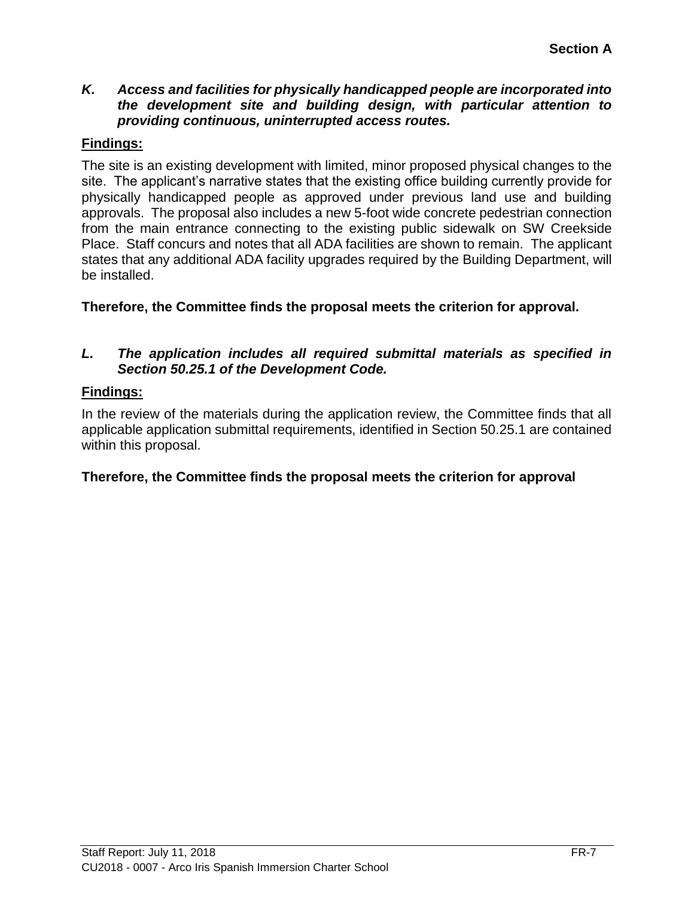# *K. Access and facilities for physically handicapped people are incorporated into the development site and building design, with particular attention to providing continuous, uninterrupted access routes.*

# **Findings:**

The site is an existing development with limited, minor proposed physical changes to the site. The applicant's narrative states that the existing office building currently provide for physically handicapped people as approved under previous land use and building approvals. The proposal also includes a new 5-foot wide concrete pedestrian connection from the main entrance connecting to the existing public sidewalk on SW Creekside Place. Staff concurs and notes that all ADA facilities are shown to remain. The applicant states that any additional ADA facility upgrades required by the Building Department, will be installed.

**Therefore, the Committee finds the proposal meets the criterion for approval.**

# *L. The application includes all required submittal materials as specified in Section 50.25.1 of the Development Code.*

# **Findings:**

In the review of the materials during the application review, the Committee finds that all applicable application submittal requirements, identified in Section 50.25.1 are contained within this proposal.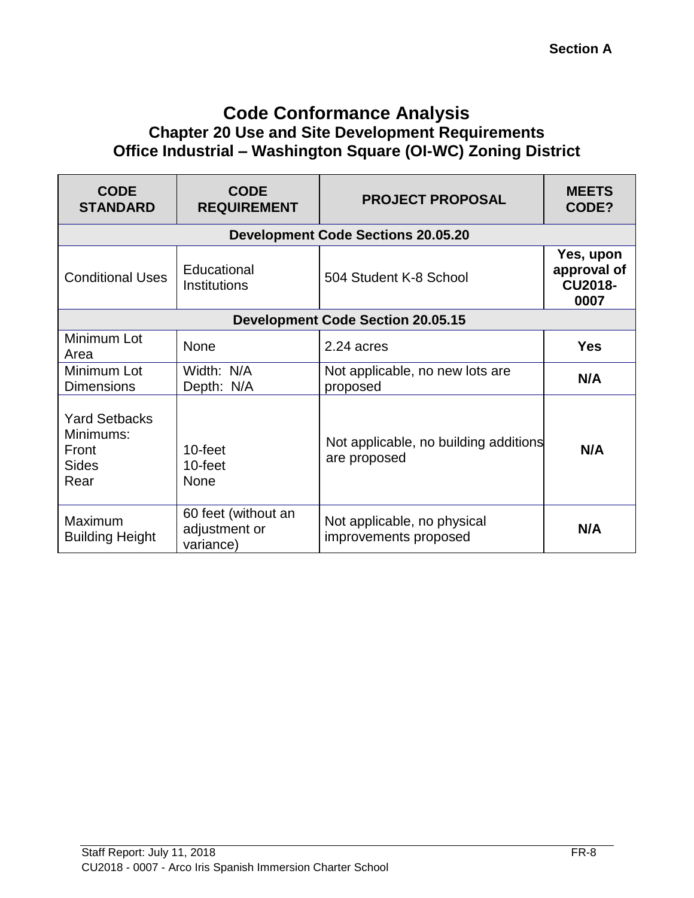# **Code Conformance Analysis Chapter 20 Use and Site Development Requirements Office Industrial – Washington Square (OI-WC) Zoning District**

| <b>CODE</b><br><b>STANDARD</b>                                     | <b>CODE</b><br><b>REQUIREMENT</b>                 | <b>PROJECT PROPOSAL</b>                               | <b>MEETS</b><br>CODE?                                     |
|--------------------------------------------------------------------|---------------------------------------------------|-------------------------------------------------------|-----------------------------------------------------------|
|                                                                    |                                                   | <b>Development Code Sections 20.05.20</b>             |                                                           |
| <b>Conditional Uses</b>                                            | Educational<br><b>Institutions</b>                | 504 Student K-8 School                                | <b>Yes, upon</b><br>approval of<br><b>CU2018-</b><br>0007 |
| <b>Development Code Section 20.05.15</b>                           |                                                   |                                                       |                                                           |
| Minimum Lot<br>Area                                                | None                                              | 2.24 acres                                            | <b>Yes</b>                                                |
| Minimum Lot<br><b>Dimensions</b>                                   | Width: N/A<br>Depth: N/A                          | Not applicable, no new lots are<br>proposed           | N/A                                                       |
| <b>Yard Setbacks</b><br>Minimums:<br>Front<br><b>Sides</b><br>Rear | 10-feet<br>10-feet<br><b>None</b>                 | Not applicable, no building additions<br>are proposed | N/A                                                       |
| Maximum<br><b>Building Height</b>                                  | 60 feet (without an<br>adjustment or<br>variance) | Not applicable, no physical<br>improvements proposed  | N/A                                                       |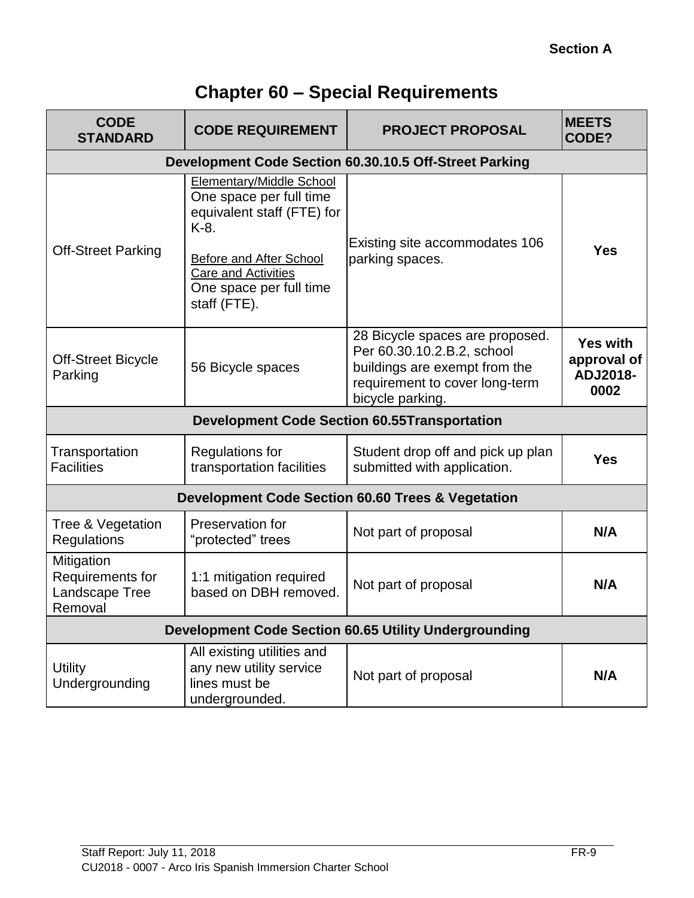# **Chapter 60 – Special Requirements**

| <b>CODE</b><br><b>STANDARD</b>                               | <b>CODE REQUIREMENT</b>                                                                                                                                                                              | <b>PROJECT PROPOSAL</b>                                                                                                                              | <b>MEETS</b><br>CODE?                              |
|--------------------------------------------------------------|------------------------------------------------------------------------------------------------------------------------------------------------------------------------------------------------------|------------------------------------------------------------------------------------------------------------------------------------------------------|----------------------------------------------------|
|                                                              |                                                                                                                                                                                                      | Development Code Section 60.30.10.5 Off-Street Parking                                                                                               |                                                    |
| <b>Off-Street Parking</b>                                    | <b>Elementary/Middle School</b><br>One space per full time<br>equivalent staff (FTE) for<br>K-8.<br>Before and After School<br><b>Care and Activities</b><br>One space per full time<br>staff (FTE). | Existing site accommodates 106<br>parking spaces.                                                                                                    | <b>Yes</b>                                         |
| <b>Off-Street Bicycle</b><br>Parking                         | 56 Bicycle spaces                                                                                                                                                                                    | 28 Bicycle spaces are proposed.<br>Per 60.30.10.2.B.2, school<br>buildings are exempt from the<br>requirement to cover long-term<br>bicycle parking. | <b>Yes with</b><br>approval of<br>ADJ2018-<br>0002 |
| <b>Development Code Section 60.55Transportation</b>          |                                                                                                                                                                                                      |                                                                                                                                                      |                                                    |
| Transportation<br><b>Facilities</b>                          | <b>Regulations for</b><br>transportation facilities                                                                                                                                                  | Student drop off and pick up plan<br>submitted with application.                                                                                     | <b>Yes</b>                                         |
| <b>Development Code Section 60.60 Trees &amp; Vegetation</b> |                                                                                                                                                                                                      |                                                                                                                                                      |                                                    |
| Tree & Vegetation<br><b>Regulations</b>                      | Preservation for<br>"protected" trees                                                                                                                                                                | Not part of proposal                                                                                                                                 | N/A                                                |
| Mitigation<br>Requirements for<br>Landscape Tree<br>Removal  | 1:1 mitigation required<br>based on DBH removed.                                                                                                                                                     | Not part of proposal                                                                                                                                 | N/A                                                |
| <b>Development Code Section 60.65 Utility Undergrounding</b> |                                                                                                                                                                                                      |                                                                                                                                                      |                                                    |
| <b>Utility</b><br>Undergrounding                             | All existing utilities and<br>any new utility service<br>lines must be<br>undergrounded.                                                                                                             | Not part of proposal                                                                                                                                 | N/A                                                |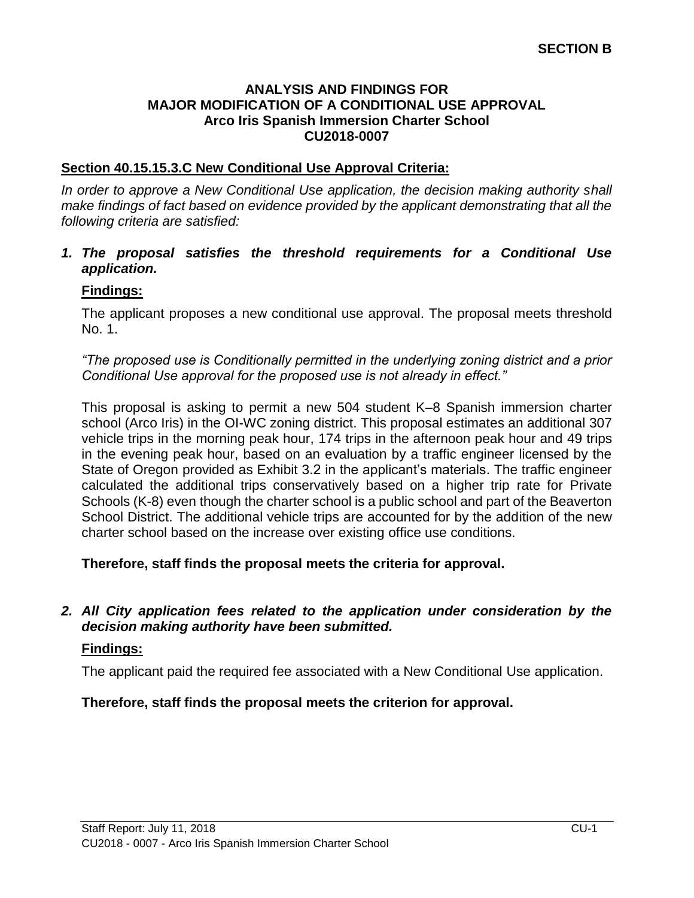#### **ANALYSIS AND FINDINGS FOR MAJOR MODIFICATION OF A CONDITIONAL USE APPROVAL Arco Iris Spanish Immersion Charter School CU2018-0007**

## **Section 40.15.15.3.C New Conditional Use Approval Criteria:**

In order to approve a New Conditional Use application, the decision making authority shall *make findings of fact based on evidence provided by the applicant demonstrating that all the following criteria are satisfied:*

#### *1. The proposal satisfies the threshold requirements for a Conditional Use application.*

## **Findings:**

The applicant proposes a new conditional use approval. The proposal meets threshold No. 1.

*"The proposed use is Conditionally permitted in the underlying zoning district and a prior Conditional Use approval for the proposed use is not already in effect."*

This proposal is asking to permit a new 504 student K–8 Spanish immersion charter school (Arco Iris) in the OI-WC zoning district. This proposal estimates an additional 307 vehicle trips in the morning peak hour, 174 trips in the afternoon peak hour and 49 trips in the evening peak hour, based on an evaluation by a traffic engineer licensed by the State of Oregon provided as Exhibit 3.2 in the applicant's materials. The traffic engineer calculated the additional trips conservatively based on a higher trip rate for Private Schools (K-8) even though the charter school is a public school and part of the Beaverton School District. The additional vehicle trips are accounted for by the addition of the new charter school based on the increase over existing office use conditions.

**Therefore, staff finds the proposal meets the criteria for approval.**

#### *2. All City application fees related to the application under consideration by the decision making authority have been submitted.*

#### **Findings:**

The applicant paid the required fee associated with a New Conditional Use application.

#### **Therefore, staff finds the proposal meets the criterion for approval.**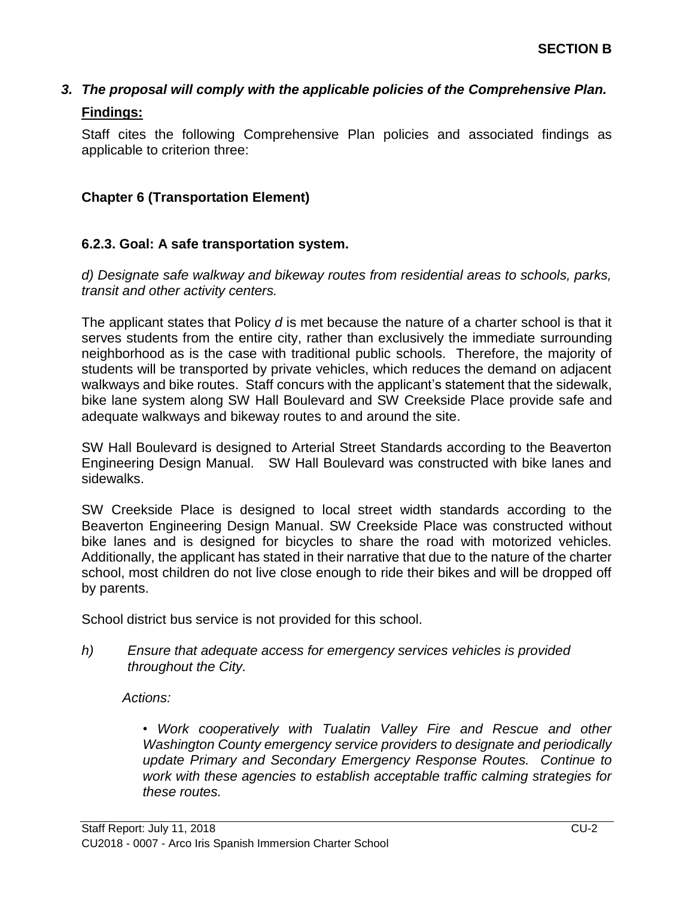# *3. The proposal will comply with the applicable policies of the Comprehensive Plan.* **Findings:**

Staff cites the following Comprehensive Plan policies and associated findings as applicable to criterion three:

# **Chapter 6 (Transportation Element)**

#### **6.2.3. Goal: A safe transportation system.**

*d) Designate safe walkway and bikeway routes from residential areas to schools, parks, transit and other activity centers.*

The applicant states that Policy *d* is met because the nature of a charter school is that it serves students from the entire city, rather than exclusively the immediate surrounding neighborhood as is the case with traditional public schools. Therefore, the majority of students will be transported by private vehicles, which reduces the demand on adjacent walkways and bike routes. Staff concurs with the applicant's statement that the sidewalk, bike lane system along SW Hall Boulevard and SW Creekside Place provide safe and adequate walkways and bikeway routes to and around the site.

SW Hall Boulevard is designed to Arterial Street Standards according to the Beaverton Engineering Design Manual. SW Hall Boulevard was constructed with bike lanes and sidewalks.

SW Creekside Place is designed to local street width standards according to the Beaverton Engineering Design Manual. SW Creekside Place was constructed without bike lanes and is designed for bicycles to share the road with motorized vehicles. Additionally, the applicant has stated in their narrative that due to the nature of the charter school, most children do not live close enough to ride their bikes and will be dropped off by parents.

School district bus service is not provided for this school.

#### *h) Ensure that adequate access for emergency services vehicles is provided throughout the City.*

*Actions:*

*• Work cooperatively with Tualatin Valley Fire and Rescue and other Washington County emergency service providers to designate and periodically update Primary and Secondary Emergency Response Routes. Continue to work with these agencies to establish acceptable traffic calming strategies for these routes.*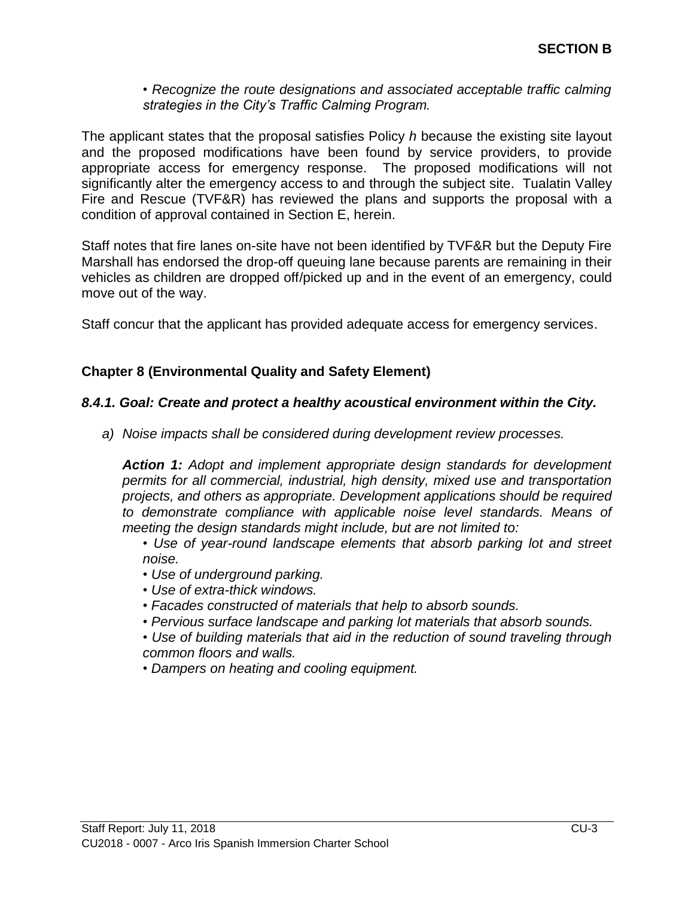#### *• Recognize the route designations and associated acceptable traffic calming strategies in the City's Traffic Calming Program.*

The applicant states that the proposal satisfies Policy *h* because the existing site layout and the proposed modifications have been found by service providers, to provide appropriate access for emergency response. The proposed modifications will not significantly alter the emergency access to and through the subject site. Tualatin Valley Fire and Rescue (TVF&R) has reviewed the plans and supports the proposal with a condition of approval contained in Section E, herein.

Staff notes that fire lanes on-site have not been identified by TVF&R but the Deputy Fire Marshall has endorsed the drop-off queuing lane because parents are remaining in their vehicles as children are dropped off/picked up and in the event of an emergency, could move out of the way.

Staff concur that the applicant has provided adequate access for emergency services.

#### **Chapter 8 (Environmental Quality and Safety Element)**

#### *8.4.1. Goal: Create and protect a healthy acoustical environment within the City.*

*a) Noise impacts shall be considered during development review processes.*

*Action 1: Adopt and implement appropriate design standards for development permits for all commercial, industrial, high density, mixed use and transportation projects, and others as appropriate. Development applications should be required to demonstrate compliance with applicable noise level standards. Means of meeting the design standards might include, but are not limited to:* 

*• Use of year-round landscape elements that absorb parking lot and street noise.* 

- *Use of underground parking.*
- *Use of extra-thick windows.*
- *Facades constructed of materials that help to absorb sounds.*
- *Pervious surface landscape and parking lot materials that absorb sounds.*

*• Use of building materials that aid in the reduction of sound traveling through common floors and walls.* 

*• Dampers on heating and cooling equipment.*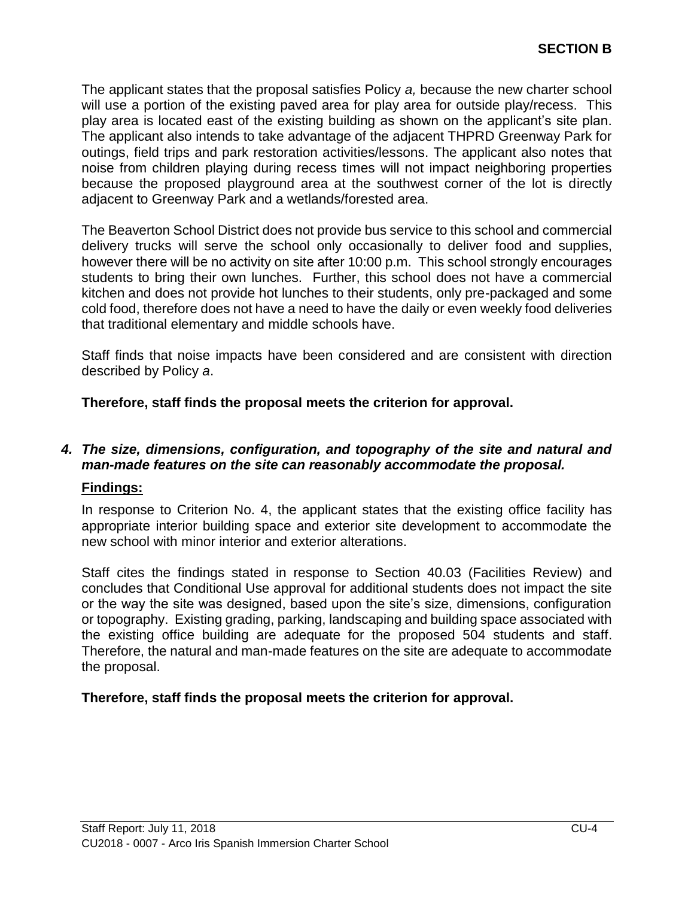The applicant states that the proposal satisfies Policy *a,* because the new charter school will use a portion of the existing paved area for play area for outside play/recess. This play area is located east of the existing building as shown on the applicant's site plan. The applicant also intends to take advantage of the adjacent THPRD Greenway Park for outings, field trips and park restoration activities/lessons. The applicant also notes that noise from children playing during recess times will not impact neighboring properties because the proposed playground area at the southwest corner of the lot is directly adjacent to Greenway Park and a wetlands/forested area.

The Beaverton School District does not provide bus service to this school and commercial delivery trucks will serve the school only occasionally to deliver food and supplies, however there will be no activity on site after 10:00 p.m. This school strongly encourages students to bring their own lunches. Further, this school does not have a commercial kitchen and does not provide hot lunches to their students, only pre-packaged and some cold food, therefore does not have a need to have the daily or even weekly food deliveries that traditional elementary and middle schools have.

Staff finds that noise impacts have been considered and are consistent with direction described by Policy *a*.

**Therefore, staff finds the proposal meets the criterion for approval.**

# *4. The size, dimensions, configuration, and topography of the site and natural and man-made features on the site can reasonably accommodate the proposal.*

# **Findings:**

In response to Criterion No. 4, the applicant states that the existing office facility has appropriate interior building space and exterior site development to accommodate the new school with minor interior and exterior alterations.

Staff cites the findings stated in response to Section 40.03 (Facilities Review) and concludes that Conditional Use approval for additional students does not impact the site or the way the site was designed, based upon the site's size, dimensions, configuration or topography. Existing grading, parking, landscaping and building space associated with the existing office building are adequate for the proposed 504 students and staff. Therefore, the natural and man-made features on the site are adequate to accommodate the proposal.

# **Therefore, staff finds the proposal meets the criterion for approval.**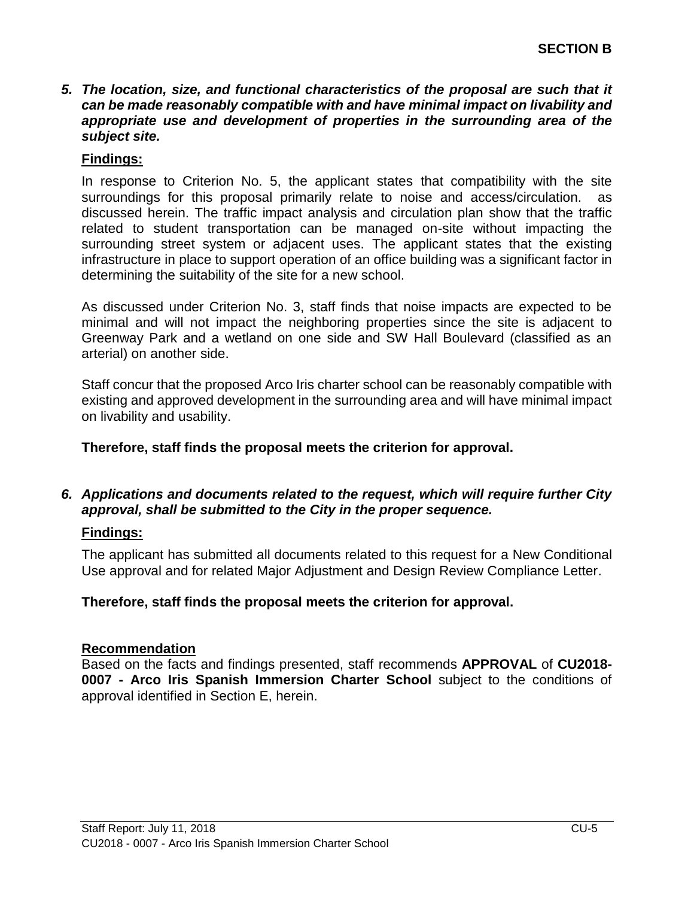#### *5. The location, size, and functional characteristics of the proposal are such that it can be made reasonably compatible with and have minimal impact on livability and appropriate use and development of properties in the surrounding area of the subject site.*

#### **Findings:**

In response to Criterion No. 5, the applicant states that compatibility with the site surroundings for this proposal primarily relate to noise and access/circulation. as discussed herein. The traffic impact analysis and circulation plan show that the traffic related to student transportation can be managed on-site without impacting the surrounding street system or adjacent uses. The applicant states that the existing infrastructure in place to support operation of an office building was a significant factor in determining the suitability of the site for a new school.

As discussed under Criterion No. 3, staff finds that noise impacts are expected to be minimal and will not impact the neighboring properties since the site is adjacent to Greenway Park and a wetland on one side and SW Hall Boulevard (classified as an arterial) on another side.

Staff concur that the proposed Arco Iris charter school can be reasonably compatible with existing and approved development in the surrounding area and will have minimal impact on livability and usability.

**Therefore, staff finds the proposal meets the criterion for approval.**

# *6. Applications and documents related to the request, which will require further City approval, shall be submitted to the City in the proper sequence.*

# **Findings:**

The applicant has submitted all documents related to this request for a New Conditional Use approval and for related Major Adjustment and Design Review Compliance Letter.

#### **Therefore, staff finds the proposal meets the criterion for approval.**

#### **Recommendation**

Based on the facts and findings presented, staff recommends **APPROVAL** of **CU2018- 0007 - Arco Iris Spanish Immersion Charter School** subject to the conditions of approval identified in Section E, herein.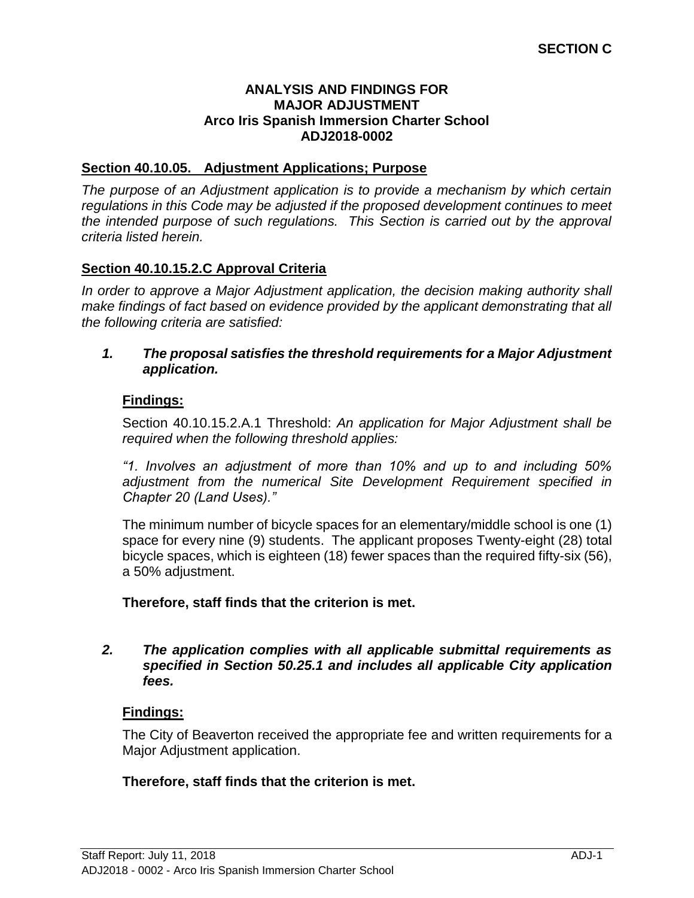#### **ANALYSIS AND FINDINGS FOR MAJOR ADJUSTMENT Arco Iris Spanish Immersion Charter School ADJ2018-0002**

## **Section 40.10.05. Adjustment Applications; Purpose**

*The purpose of an Adjustment application is to provide a mechanism by which certain regulations in this Code may be adjusted if the proposed development continues to meet the intended purpose of such regulations. This Section is carried out by the approval criteria listed herein.*

## **Section 40.10.15.2.C Approval Criteria**

*In order to approve a Major Adjustment application, the decision making authority shall make findings of fact based on evidence provided by the applicant demonstrating that all the following criteria are satisfied:*

#### *1. The proposal satisfies the threshold requirements for a Major Adjustment application.*

## **Findings:**

Section 40.10.15.2.A.1 Threshold: *An application for Major Adjustment shall be required when the following threshold applies:*

*"1. Involves an adjustment of more than 10% and up to and including 50% adjustment from the numerical Site Development Requirement specified in Chapter 20 (Land Uses)."*

The minimum number of bicycle spaces for an elementary/middle school is one (1) space for every nine (9) students. The applicant proposes Twenty-eight (28) total bicycle spaces, which is eighteen (18) fewer spaces than the required fifty-six (56), a 50% adjustment.

**Therefore, staff finds that the criterion is met.**

#### *2. The application complies with all applicable submittal requirements as specified in Section 50.25.1 and includes all applicable City application fees.*

#### **Findings:**

The City of Beaverton received the appropriate fee and written requirements for a Major Adjustment application.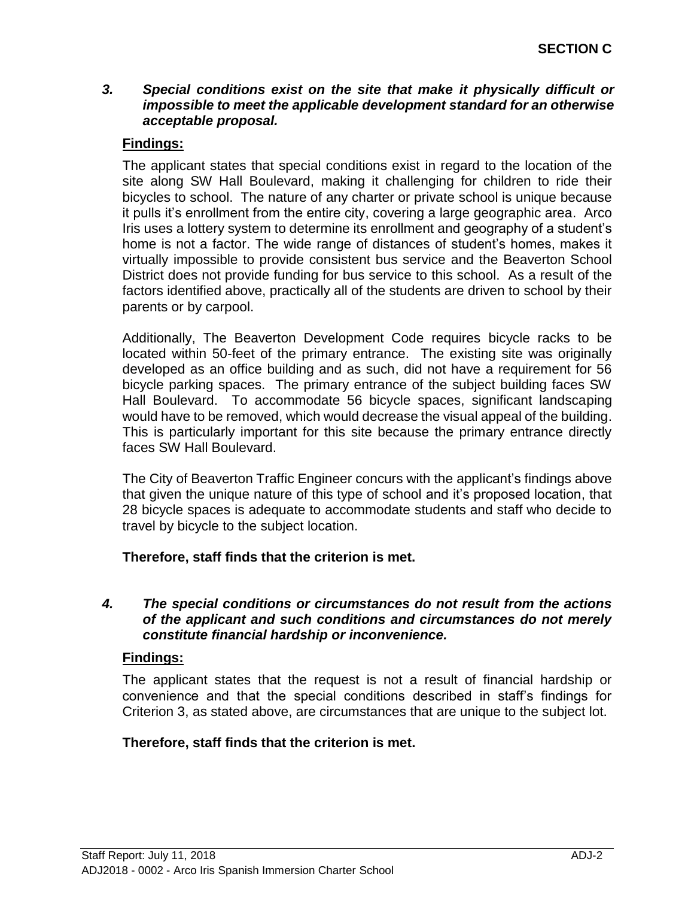#### *3. Special conditions exist on the site that make it physically difficult or impossible to meet the applicable development standard for an otherwise acceptable proposal.*

# **Findings:**

The applicant states that special conditions exist in regard to the location of the site along SW Hall Boulevard, making it challenging for children to ride their bicycles to school. The nature of any charter or private school is unique because it pulls it's enrollment from the entire city, covering a large geographic area. Arco Iris uses a lottery system to determine its enrollment and geography of a student's home is not a factor. The wide range of distances of student's homes, makes it virtually impossible to provide consistent bus service and the Beaverton School District does not provide funding for bus service to this school. As a result of the factors identified above, practically all of the students are driven to school by their parents or by carpool.

Additionally, The Beaverton Development Code requires bicycle racks to be located within 50-feet of the primary entrance. The existing site was originally developed as an office building and as such, did not have a requirement for 56 bicycle parking spaces. The primary entrance of the subject building faces SW Hall Boulevard. To accommodate 56 bicycle spaces, significant landscaping would have to be removed, which would decrease the visual appeal of the building. This is particularly important for this site because the primary entrance directly faces SW Hall Boulevard.

The City of Beaverton Traffic Engineer concurs with the applicant's findings above that given the unique nature of this type of school and it's proposed location, that 28 bicycle spaces is adequate to accommodate students and staff who decide to travel by bicycle to the subject location.

# **Therefore, staff finds that the criterion is met.**

#### *4. The special conditions or circumstances do not result from the actions of the applicant and such conditions and circumstances do not merely constitute financial hardship or inconvenience.*

# **Findings:**

The applicant states that the request is not a result of financial hardship or convenience and that the special conditions described in staff's findings for Criterion 3, as stated above, are circumstances that are unique to the subject lot.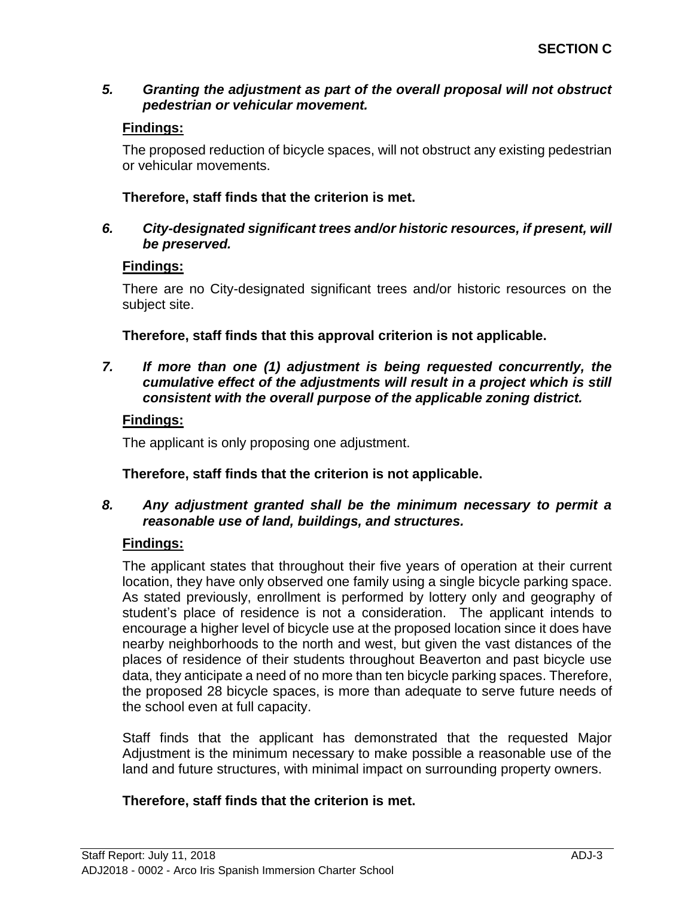# *5. Granting the adjustment as part of the overall proposal will not obstruct pedestrian or vehicular movement.*

# **Findings:**

The proposed reduction of bicycle spaces, will not obstruct any existing pedestrian or vehicular movements.

# **Therefore, staff finds that the criterion is met.**

## *6. City-designated significant trees and/or historic resources, if present, will be preserved.*

## **Findings:**

There are no City-designated significant trees and/or historic resources on the subject site.

**Therefore, staff finds that this approval criterion is not applicable.**

*7. If more than one (1) adjustment is being requested concurrently, the cumulative effect of the adjustments will result in a project which is still consistent with the overall purpose of the applicable zoning district.*

# **Findings:**

The applicant is only proposing one adjustment.

# **Therefore, staff finds that the criterion is not applicable.**

## *8. Any adjustment granted shall be the minimum necessary to permit a reasonable use of land, buildings, and structures.*

# **Findings:**

The applicant states that throughout their five years of operation at their current location, they have only observed one family using a single bicycle parking space. As stated previously, enrollment is performed by lottery only and geography of student's place of residence is not a consideration. The applicant intends to encourage a higher level of bicycle use at the proposed location since it does have nearby neighborhoods to the north and west, but given the vast distances of the places of residence of their students throughout Beaverton and past bicycle use data, they anticipate a need of no more than ten bicycle parking spaces. Therefore, the proposed 28 bicycle spaces, is more than adequate to serve future needs of the school even at full capacity.

Staff finds that the applicant has demonstrated that the requested Major Adjustment is the minimum necessary to make possible a reasonable use of the land and future structures, with minimal impact on surrounding property owners.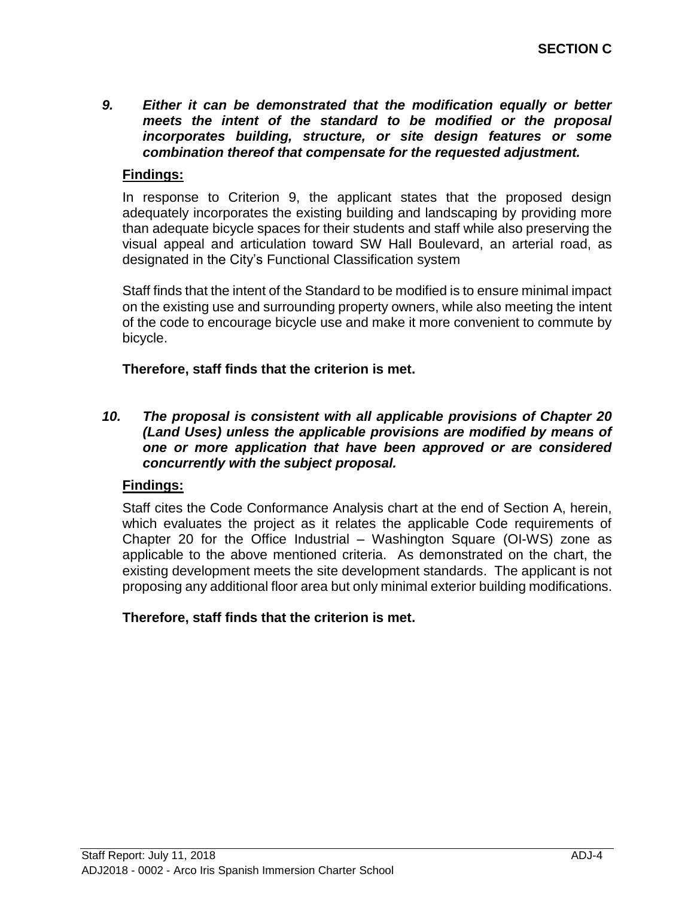*9. Either it can be demonstrated that the modification equally or better meets the intent of the standard to be modified or the proposal incorporates building, structure, or site design features or some combination thereof that compensate for the requested adjustment.* 

## **Findings:**

In response to Criterion 9, the applicant states that the proposed design adequately incorporates the existing building and landscaping by providing more than adequate bicycle spaces for their students and staff while also preserving the visual appeal and articulation toward SW Hall Boulevard, an arterial road, as designated in the City's Functional Classification system

Staff finds that the intent of the Standard to be modified is to ensure minimal impact on the existing use and surrounding property owners, while also meeting the intent of the code to encourage bicycle use and make it more convenient to commute by bicycle.

**Therefore, staff finds that the criterion is met.**

#### *10. The proposal is consistent with all applicable provisions of Chapter 20 (Land Uses) unless the applicable provisions are modified by means of one or more application that have been approved or are considered concurrently with the subject proposal.*

## **Findings:**

Staff cites the Code Conformance Analysis chart at the end of Section A, herein, which evaluates the project as it relates the applicable Code requirements of Chapter 20 for the Office Industrial – Washington Square (OI-WS) zone as applicable to the above mentioned criteria. As demonstrated on the chart, the existing development meets the site development standards. The applicant is not proposing any additional floor area but only minimal exterior building modifications.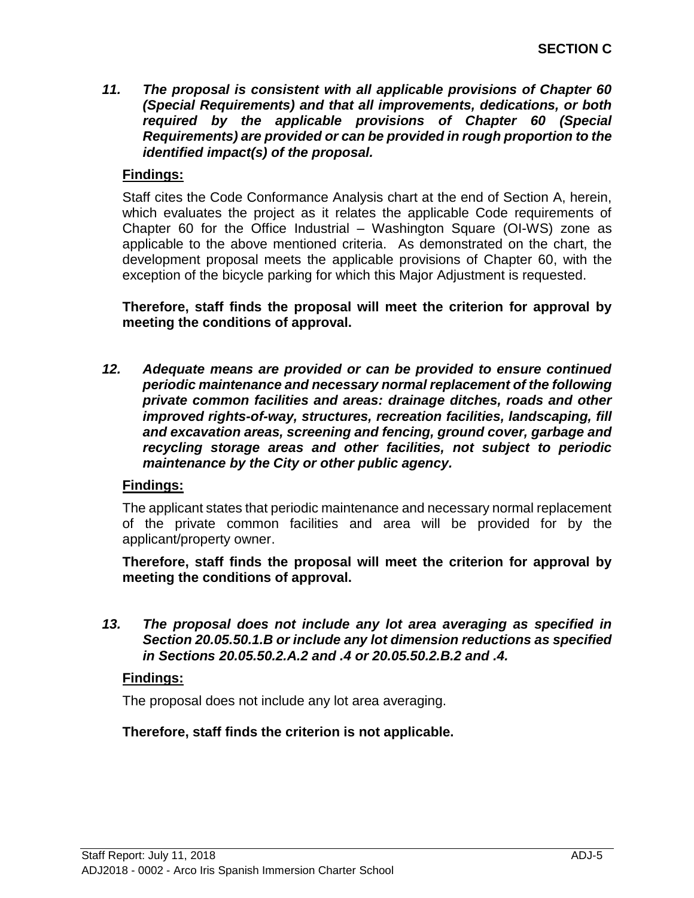*11. The proposal is consistent with all applicable provisions of Chapter 60 (Special Requirements) and that all improvements, dedications, or both required by the applicable provisions of Chapter 60 (Special Requirements) are provided or can be provided in rough proportion to the identified impact(s) of the proposal.*

# **Findings:**

Staff cites the Code Conformance Analysis chart at the end of Section A, herein, which evaluates the project as it relates the applicable Code requirements of Chapter 60 for the Office Industrial – Washington Square (OI-WS) zone as applicable to the above mentioned criteria. As demonstrated on the chart, the development proposal meets the applicable provisions of Chapter 60, with the exception of the bicycle parking for which this Major Adjustment is requested.

**Therefore, staff finds the proposal will meet the criterion for approval by meeting the conditions of approval.**

*12. Adequate means are provided or can be provided to ensure continued periodic maintenance and necessary normal replacement of the following private common facilities and areas: drainage ditches, roads and other improved rights-of-way, structures, recreation facilities, landscaping, fill and excavation areas, screening and fencing, ground cover, garbage and recycling storage areas and other facilities, not subject to periodic maintenance by the City or other public agency.*

# **Findings:**

The applicant states that periodic maintenance and necessary normal replacement of the private common facilities and area will be provided for by the applicant/property owner.

**Therefore, staff finds the proposal will meet the criterion for approval by meeting the conditions of approval.**

*13. The proposal does not include any lot area averaging as specified in Section 20.05.50.1.B or include any lot dimension reductions as specified in Sections 20.05.50.2.A.2 and .4 or 20.05.50.2.B.2 and .4.*

# **Findings:**

The proposal does not include any lot area averaging.

**Therefore, staff finds the criterion is not applicable.**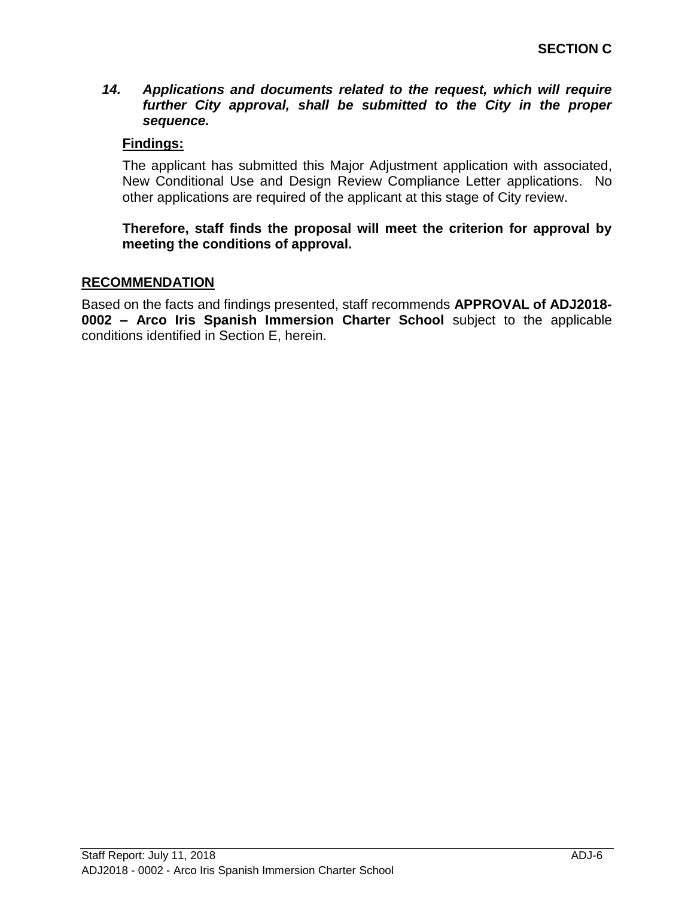#### *14. Applications and documents related to the request, which will require further City approval, shall be submitted to the City in the proper sequence.*

## **Findings:**

The applicant has submitted this Major Adjustment application with associated, New Conditional Use and Design Review Compliance Letter applications. No other applications are required of the applicant at this stage of City review.

**Therefore, staff finds the proposal will meet the criterion for approval by meeting the conditions of approval.**

#### **RECOMMENDATION**

Based on the facts and findings presented, staff recommends **APPROVAL of ADJ2018- 0002 – Arco Iris Spanish Immersion Charter School** subject to the applicable conditions identified in Section E, herein.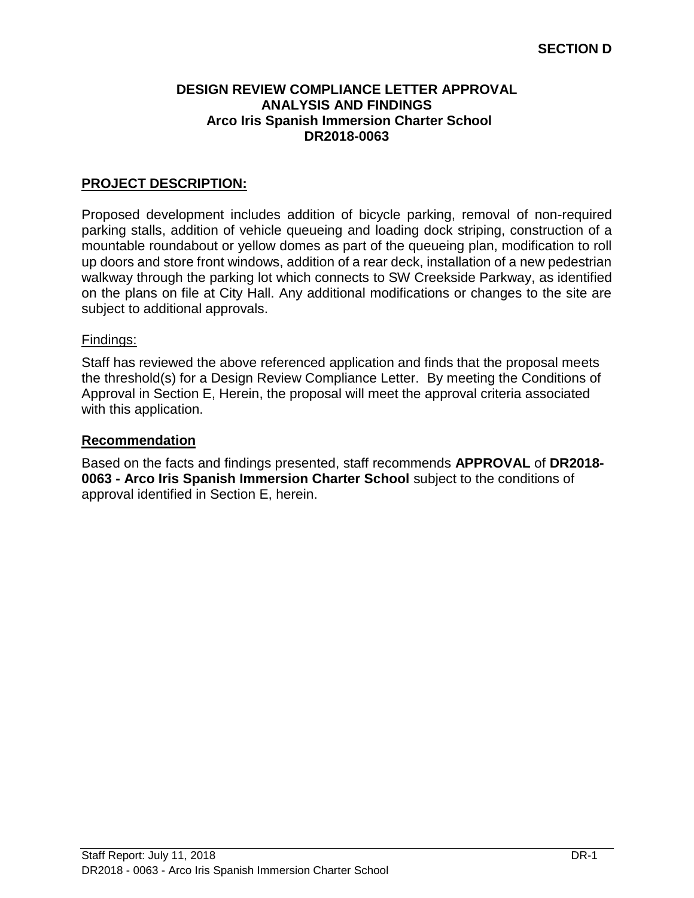#### **DESIGN REVIEW COMPLIANCE LETTER APPROVAL ANALYSIS AND FINDINGS Arco Iris Spanish Immersion Charter School DR2018-0063**

# **PROJECT DESCRIPTION:**

Proposed development includes addition of bicycle parking, removal of non-required parking stalls, addition of vehicle queueing and loading dock striping, construction of a mountable roundabout or yellow domes as part of the queueing plan, modification to roll up doors and store front windows, addition of a rear deck, installation of a new pedestrian walkway through the parking lot which connects to SW Creekside Parkway, as identified on the plans on file at City Hall. Any additional modifications or changes to the site are subject to additional approvals.

#### Findings:

Staff has reviewed the above referenced application and finds that the proposal meets the threshold(s) for a Design Review Compliance Letter. By meeting the Conditions of Approval in Section E, Herein, the proposal will meet the approval criteria associated with this application.

#### **Recommendation**

Based on the facts and findings presented, staff recommends **APPROVAL** of **DR2018- 0063 - Arco Iris Spanish Immersion Charter School** subject to the conditions of approval identified in Section E, herein.